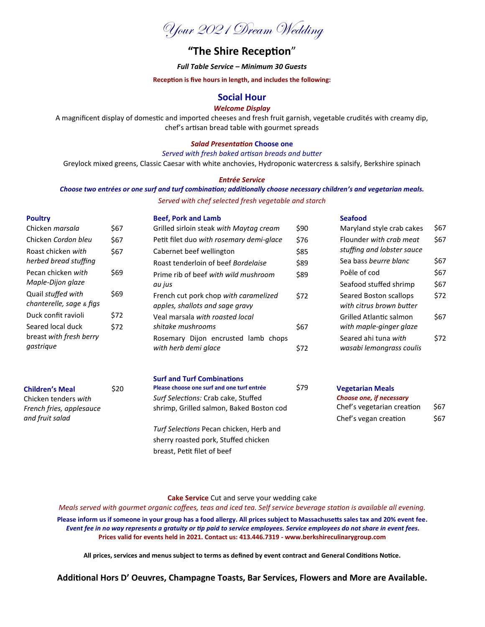Your 2021 Dream Wedding

# **"The Shire Reception**"

#### *Full Table Service – Minimum 30 Guests*

### **Reception is five hours in length, and includes the following:**

## **Social Hour**

## *Welcome Display*

A magnificent display of domestic and imported cheeses and fresh fruit garnish, vegetable crudités with creamy dip, chef's artisan bread table with gourmet spreads

### *Salad Presentation* **Choose one**

*Served with fresh baked artisan breads and butter*

Greylock mixed greens, Classic Caesar with white anchovies, Hydroponic watercress & salsify, Berkshire spinach

#### *Entrée Service*

# *Choose two entrées or one surf and turf combination; additionally choose necessary children's and vegetarian meals. Served with chef selected fresh vegetable and starch*

#### **Poultry**

#### **Beef, Pork and Lamb**

| Chicken <i>marsala</i>   | \$67 | Grilled sirloin steak with Maytag cream  | \$90  | Maryland style crab cakes      | \$67 |
|--------------------------|------|------------------------------------------|-------|--------------------------------|------|
| Chicken Cordon bleu      | \$67 | Petit filet duo with rosemary demi-glace | \$76  | Flounder with crab meat        | \$67 |
| Roast chicken with       | \$67 | Cabernet beef wellington                 | \$85  | stuffing and lobster sauce     |      |
| herbed bread stuffing    |      | Roast tenderloin of beef Bordelaise      | \$89  | Sea bass beurre blanc          | \$67 |
| Pecan chicken with       | \$69 | Prime rib of beef with wild mushroom     | \$89  | Poêle of cod                   | \$67 |
| Maple-Dijon glaze        |      | au jus                                   |       | Seafood stuffed shrimp         | \$67 |
| Quail stuffed with       | \$69 | French cut pork chop with caramelized    | \$72  | Seared Boston scallops         | \$72 |
| chanterelle, sage & figs |      | apples, shallots and sage gravy          |       | with citrus brown butter       |      |
| Duck confit ravioli      | \$72 | Veal marsala with roasted local          |       | <b>Grilled Atlantic salmon</b> | \$67 |
| Seared local duck        | \$72 | shitake mushrooms                        | \$67  | with maple-ginger glaze        |      |
| breast with fresh berry  |      | Rosemary Dijon encrusted lamb chops      |       | Seared ahi tuna with           | \$72 |
| gastrique                |      | with herb demi glace                     | \$72. | wasabi lemongrass coulis       |      |

| <b>Children's Meal</b><br>Chicken tenders with | \$20 | <b>Surf and Turf Combinations</b><br>Please choose one surf and one turf entrée<br>Surf Selections: Crab cake, Stuffed | \$79 | <b>Vegetarian Meals</b><br>Choose one, if nece. |
|------------------------------------------------|------|------------------------------------------------------------------------------------------------------------------------|------|-------------------------------------------------|
| French fries, applesauce<br>and fruit salad    |      | shrimp, Grilled salmon, Baked Boston cod                                                                               |      | Chef's vegetarian<br>Chef's vegan crea          |
|                                                |      | Turf Selections Pecan chicken, Herb and                                                                                |      |                                                 |
|                                                |      | sherry roasted pork, Stuffed chicken                                                                                   |      |                                                 |

breast, Petit filet of beef

| <b>Vegetarian Meals</b>    |      |
|----------------------------|------|
| Choose one, if necessary   |      |
| Chef's vegetarian creation | \$67 |
| Chef's vegan creation      | \$67 |

**Seafood**

**Cake Service** Cut and serve your wedding cake

*Meals served with gourmet organic coffees, teas and iced tea. Self service beverage station is available all evening.*

**Please inform us if someone in your group has a food allergy. All prices subject to Massachusetts sales tax and 20% event fee.**  *Event fee in no way represents a gratuity or tip paid to service employees. Service employees do not share in event fees.*  **Prices valid for events held in 2021. Contact us: 413.446.7319 - www.berkshireculinarygroup.com** 

**All prices, services and menus subject to terms as defined by event contract and General Conditions Notice.**

**Additional Hors D' Oeuvres, Champagne Toasts, Bar Services, Flowers and More are Available.**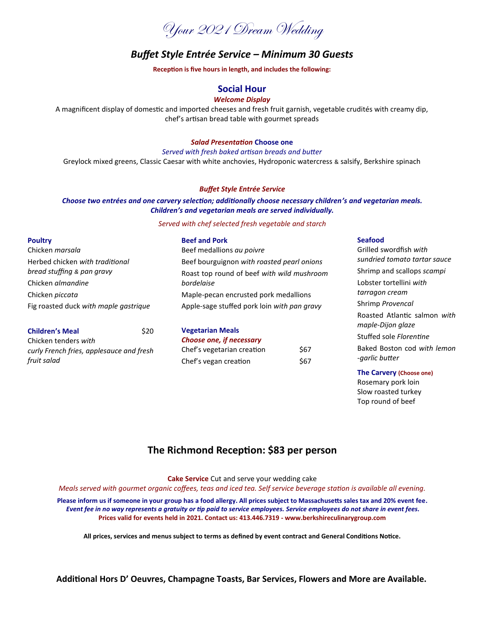Your 2021 Dream Wedding

# *Buffet Style Entrée Service – Minimum 30 Guests*

**Reception is five hours in length, and includes the following:**

# **Social Hour**

## *Welcome Display*

A magnificent display of domestic and imported cheeses and fresh fruit garnish, vegetable crudités with creamy dip, chef's artisan bread table with gourmet spreads

### *Salad Presentation* **Choose one**

*Served with fresh baked artisan breads and butter*

Greylock mixed greens, Classic Caesar with white anchovies, Hydroponic watercress & salsify, Berkshire spinach

#### *Buffet Style Entrée Service*

## *Choose two entrées and one carvery selection; additionally choose necessary children's and vegetarian meals. Children's and vegetarian meals are served individually.*

#### *Served with chef selected fresh vegetable and starch*

| <b>Poultry</b>                           |      | <b>Beef and Pork</b>                        |      | <b>Seafood</b>                                    |  |
|------------------------------------------|------|---------------------------------------------|------|---------------------------------------------------|--|
| Chicken <i>marsala</i>                   |      | Beef medallions au poivre                   |      | Grilled swordfish with                            |  |
| Herbed chicken with traditional          |      | Beef bourguignon with roasted pearl onions  |      | sundried tomato tartar sauce                      |  |
| bread stuffing & pan gravy               |      | Roast top round of beef with wild mushroom  |      | Shrimp and scallops scampi                        |  |
| Chicken almandine                        |      | bordelaise                                  |      | Lobster tortellini with                           |  |
| Chicken <i>piccata</i>                   |      | Maple-pecan encrusted pork medallions       |      | tarragon cream                                    |  |
| Fig roasted duck with maple gastrique    |      | Apple-sage stuffed pork loin with pan gravy |      | Shrimp Provencal                                  |  |
|                                          |      | <b>Vegetarian Meals</b>                     |      | Roasted Atlantic salmon with<br>maple-Dijon glaze |  |
| <b>Children's Meal</b>                   | \$20 |                                             |      | Stuffed sole Florentine                           |  |
| Chicken tenders with                     |      | Choose one, if necessary                    |      | Baked Boston cod with lemon                       |  |
| curly French fries, applesauce and fresh |      | Chef's vegetarian creation                  | \$67 |                                                   |  |
| fruit salad                              |      | Chef's vegan creation                       | \$67 | -garlic butter                                    |  |

**The Carvery (Choose one)** Rosemary pork loin

Slow roasted turkey Top round of beef

# **The Richmond Reception: \$83 per person**

**Cake Service** Cut and serve your wedding cake

*Meals served with gourmet organic coffees, teas and iced tea. Self service beverage station is available all evening.*

**Please inform us if someone in your group has a food allergy. All prices subject to Massachusetts sales tax and 20% event fee.**  *Event fee in no way represents a gratuity or tip paid to service employees. Service employees do not share in event fees.*  **Prices valid for events held in 2021. Contact us: 413.446.7319 - www.berkshireculinarygroup.com** 

**All prices, services and menus subject to terms as defined by event contract and General Conditions Notice.**

**Additional Hors D' Oeuvres, Champagne Toasts, Bar Services, Flowers and More are Available.**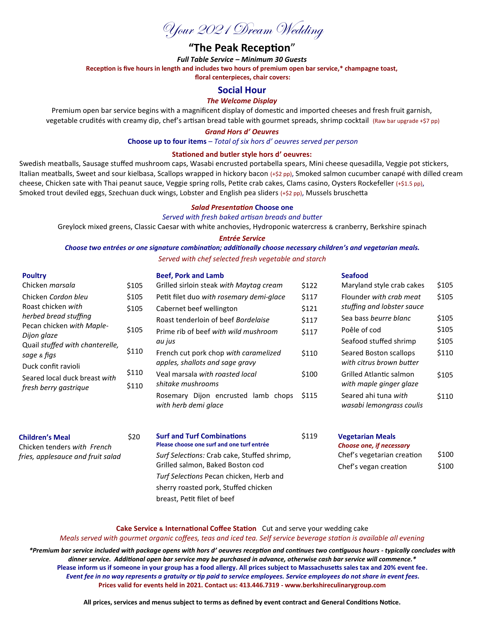Your 2021 Dream Wedding

# **"The Peak Reception**"

*Full Table Service – Minimum 30 Guests*

**Reception is five hours in length and includes two hours of premium open bar service,\* champagne toast,**

**floral centerpieces, chair covers:**

# **Social Hour**

# *The Welcome Display*

Premium open bar service begins with a magnificent display of domestic and imported cheeses and fresh fruit garnish, vegetable crudités with creamy dip, chef's artisan bread table with gourmet spreads, shrimp cocktail (Raw bar upgrade +\$7 pp)

### *Grand Hors d' Oeuvres*

**Choose up to four items** – *Total of six hors d' oeuvres served per person*

#### **Stationed and butler style hors d' oeuvres:**

Swedish meatballs, Sausage stuffed mushroom caps, Wasabi encrusted portabella spears, Mini cheese quesadilla, Veggie pot stickers, Italian meatballs, Sweet and sour kielbasa, Scallops wrapped in hickory bacon (+\$2 pp), Smoked salmon cucumber canapé with dilled cream cheese, Chicken sate with Thai peanut sauce, Veggie spring rolls, Petite crab cakes, Clams casino, Oysters Rockefeller (+\$1.5 pp), Smoked trout deviled eggs, Szechuan duck wings, Lobster and English pea sliders (+\$2 pp), Mussels bruschetta

## *Salad Presentation* **Choose one**

*Served with fresh baked artisan breads and butter*

Greylock mixed greens, Classic Caesar with white anchovies, Hydroponic watercress & cranberry, Berkshire spinach

*Entrée Service*

*Choose two entrées or one signature combination; additionally choose necessary children's and vegetarian meals.*

*Served with chef selected fresh vegetable and starch*

| <b>Poultry</b>                                                      |                | <b>Beef, Pork and Lamb</b>                                                      |       | <b>Seafood</b>                                      |       |
|---------------------------------------------------------------------|----------------|---------------------------------------------------------------------------------|-------|-----------------------------------------------------|-------|
| Chicken <i>marsala</i>                                              | \$105          | Grilled sirloin steak with Maytag cream                                         | \$122 | Maryland style crab cakes                           | \$105 |
| Chicken Cordon bleu                                                 | \$105          | Petit filet duo with rosemary demi-glace                                        | \$117 | Flounder with crab meat                             | \$105 |
| Roast chicken with                                                  | \$105          | Cabernet beef wellington                                                        | \$121 | stuffing and lobster sauce                          |       |
| herbed bread stuffing                                               |                | Roast tenderloin of beef Bordelaise                                             | \$117 | Sea bass beurre blanc                               | \$105 |
| Pecan chicken with Maple-<br>Dijon glaze                            | \$105          | Prime rib of beef with wild mushroom                                            | \$117 | Poêle of cod                                        | \$105 |
| Quail stuffed with chanterelle,                                     |                | au jus                                                                          |       | Seafood stuffed shrimp                              | \$105 |
| sage & figs<br>Duck confit ravioli<br>Seared local duck breast with | \$110          | French cut pork chop with caramelized<br>apples, shallots and sage gravy        | \$110 | Seared Boston scallops<br>with citrus brown butter  | \$110 |
|                                                                     | \$110<br>\$110 | Veal marsala with roasted local                                                 | \$100 | Grilled Atlantic salmon                             | \$105 |
| fresh berry gastrique                                               |                | shitake mushrooms                                                               |       | with maple ginger glaze                             |       |
|                                                                     |                | Rosemary Dijon encrusted lamb chops<br>with herb demi glace                     | \$115 | Seared ahi tuna with<br>wasabi lemongrass coulis    | \$110 |
| <b>Children's Meal</b><br>Chicken tenders with French               | \$20           | <b>Surf and Turf Combinations</b><br>Please choose one surf and one turf entrée | \$119 | <b>Vegetarian Meals</b><br>Choose one, if necessary |       |
| fries, applesauce and fruit salad                                   |                | Surf Selections: Crab cake, Stuffed shrimp,                                     |       | Chef's vegetarian creation                          | \$100 |
|                                                                     |                | Grilled salmon, Baked Boston cod                                                |       | Chef's vegan creation                               | \$100 |
|                                                                     |                | Turf Selections Pecan chicken, Herb and                                         |       |                                                     |       |
|                                                                     |                | sherry roasted pork, Stuffed chicken                                            |       |                                                     |       |
|                                                                     |                | breast. Petit filet of beef                                                     |       |                                                     |       |

**Cake Service & International Coffee Station** Cut and serve your wedding cake *Meals served with gourmet organic coffees, teas and iced tea. Self service beverage station is available all evening*

*\*Premium bar service included with package opens with hors d' oeuvres reception and continues two contiguous hours - typically concludes with dinner service. Additional open bar service may be purchased in advance, otherwise cash bar service will commence.\** **Please inform us if someone in your group has a food allergy. All prices subject to Massachusetts sales tax and 20% event fee.**  *Event fee in no way represents a gratuity or tip paid to service employees. Service employees do not share in event fees.*  **Prices valid for events held in 2021. Contact us: 413.446.7319 - www.berkshireculinarygroup.com** 

**All prices, services and menus subject to terms as defined by event contract and General Conditions Notice.**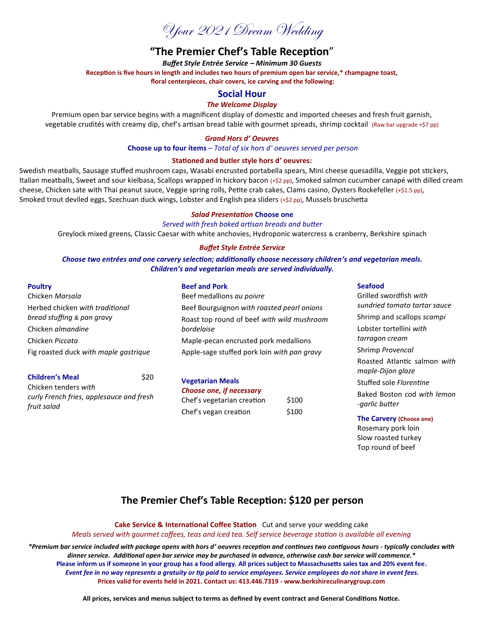Your 2021 Dream Wedding

# **"The Premier Chef's Table Reception**"

*Buffet Style Entrée Service – Minimum 30 Guests*

**Reception is five hours in length and includes two hours of premium open bar service,\* champagne toast,**

**floral centerpieces, chair covers, ice carving and the following:**

# **Social Hour**

# *The Welcome Display*

Premium open bar service begins with a magnificent display of domestic and imported cheeses and fresh fruit garnish, vegetable crudités with creamy dip, chef's artisan bread table with gourmet spreads, shrimp cocktail (Raw bar upgrade +\$7 pp)

## *Grand Hors d' Oeuvres*

**Choose up to four items** – *Total of six hors d' oeuvres served per person*

## **Stationed and butler style hors d' oeuvres:**

Swedish meatballs, Sausage stuffed mushroom caps, Wasabi encrusted portabella spears, Mini cheese quesadilla, Veggie pot stickers, Italian meatballs, Sweet and sour kielbasa, Scallops wrapped in hickory bacon (+\$2 pp), Smoked salmon cucumber canapé with dilled cream cheese, Chicken sate with Thai peanut sauce, Veggie spring rolls, Petite crab cakes, Clams casino, Oysters Rockefeller (+\$1.5 pp), Smoked trout deviled eggs, Szechuan duck wings, Lobster and English pea sliders (+\$2 pp), Mussels bruschetta

### *Salad Presentation* **Choose one**

*Served with fresh baked artisan breads and butter*

Greylock mixed greens, Classic Caesar with white anchovies, Hydroponic watercress & cranberry, Berkshire spinach

## *Buffet Style Entrée Service*

*Choose two entrées and one carvery selection; additionally choose necessary children's and vegetarian meals. Children's and vegetarian meals are served individually.*

| <b>Poultry</b>                                                   |      | <b>Beef and Pork</b>                                                   | <b>Seafood</b>                                    |
|------------------------------------------------------------------|------|------------------------------------------------------------------------|---------------------------------------------------|
| Chicken Marsala                                                  |      | Beef medallions au poivre                                              | Grilled swordfish with                            |
| Herbed chicken with traditional                                  |      | Beef Bourguignon with roasted pearl onions                             | sundried tomato tartar sauce                      |
| bread stuffing & pan gravy                                       |      | Roast top round of beef with wild mushroom                             | Shrimp and scallops scampi                        |
| Chicken almandine                                                |      | bordelaise                                                             | Lobster tortellini with                           |
| Chicken Piccata                                                  |      | Maple-pecan encrusted pork medallions                                  | tarragon cream                                    |
| Fig roasted duck with maple gastrique                            |      | Apple-sage stuffed pork loin with pan gravy                            | Shrimp Provencal                                  |
|                                                                  |      |                                                                        | Roasted Atlantic salmon with<br>maple-Dijon glaze |
| <b>Children's Meal</b>                                           | \$20 | <b>Vegetarian Meals</b>                                                | Stuffed sole Florentine                           |
| Chicken tenders with<br>curly French fries, applesauce and fresh |      | <b>Choose one, if necessary</b><br>Chef's vegetarian creation<br>\$100 | Baked Boston cod with lemon                       |

er s vegetarian creatio Chef's vegan creation \$100

*fruit salad*

*-garlic butter* **The Carvery (Choose one)** Rosemary pork loin Slow roasted turkey

Top round of beef

# **The Premier Chef's Table Reception: \$120 per person**

**Cake Service & International Coffee Station** Cut and serve your wedding cake *Meals served with gourmet coffees, teas and iced tea. Self service beverage station is available all evening*

*\*Premium bar service included with package opens with hors d' oeuvres reception and continues two contiguous hours - typically concludes with dinner service. Additional open bar service may be purchased in advance, otherwise cash bar service will commence.\** **Please inform us if someone in your group has a food allergy. All prices subject to Massachusetts sales tax and 20% event fee.**  *Event fee in no way represents a gratuity or tip paid to service employees. Service employees do not share in event fees.*  **Prices valid for events held in 2021. Contact us: 413.446.7319 - www.berkshireculinarygroup.com**

**All prices, services and menus subject to terms as defined by event contract and General Conditions Notice.**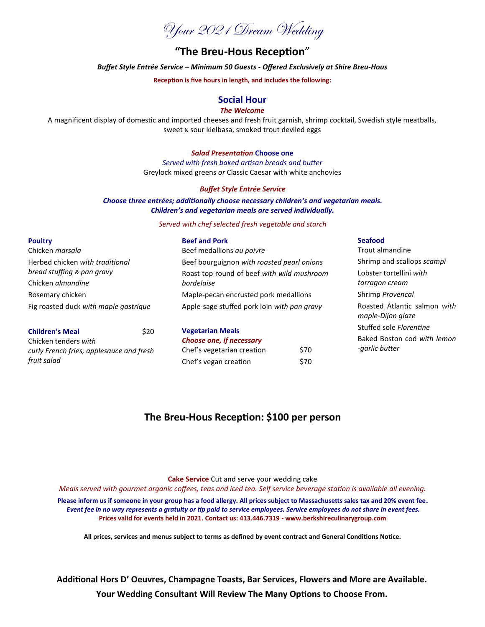Your 2021 Dream Wedding

# **"The Breu-Hous Reception**"

*Buffet Style Entrée Service – Minimum 50 Guests - Offered Exclusively at Shire Breu-Hous* 

**Reception is five hours in length, and includes the following:**

# **Social Hour**

## *The Welcome*

A magnificent display of domestic and imported cheeses and fresh fruit garnish, shrimp cocktail, Swedish style meatballs, sweet & sour kielbasa, smoked trout deviled eggs

## *Salad Presentation* **Choose one**

*Served with fresh baked artisan breads and butter* Greylock mixed greens *or* Classic Caesar with white anchovies

#### *Buffet Style Entrée Service*

## *Choose three entrées; additionally choose necessary children's and vegetarian meals. Children's and vegetarian meals are served individually.*

#### *Served with chef selected fresh vegetable and starch*

| <b>Poultry</b>                           |      | <b>Beef and Pork</b>                        |      | <b>Seafood</b>                                    |
|------------------------------------------|------|---------------------------------------------|------|---------------------------------------------------|
| Chicken <i>marsala</i>                   |      | Beef medallions au poivre                   |      | Trout almandine                                   |
| Herbed chicken with traditional          |      | Beef bourguignon with roasted pearl onions  |      | Shrimp and scallops scampi                        |
| bread stuffing & pan gravy               |      | Roast top round of beef with wild mushroom  |      | Lobster tortellini with                           |
| Chicken almandine                        |      | bordelaise                                  |      | tarragon cream                                    |
| Rosemary chicken                         |      | Maple-pecan encrusted pork medallions       |      | Shrimp Provencal                                  |
| Fig roasted duck with maple gastrique    |      | Apple-sage stuffed pork loin with pan gravy |      | Roasted Atlantic salmon with<br>maple-Dijon glaze |
| <b>Children's Meal</b>                   | \$20 | <b>Vegetarian Meals</b>                     |      | Stuffed sole Florentine                           |
| Chicken tenders with                     |      | <b>Choose one, if necessary</b>             |      | Baked Boston cod with lemon                       |
| curly French fries, applesauce and fresh |      | Chef's vegetarian creation                  | \$70 | -garlic butter                                    |
| fruit salad                              |      | Chef's vegan creation                       | \$70 |                                                   |

# **The Breu-Hous Reception: \$100 per person**

### **Cake Service** Cut and serve your wedding cake

*Meals served with gourmet organic coffees, teas and iced tea. Self service beverage station is available all evening.*

**Please inform us if someone in your group has a food allergy. All prices subject to Massachusetts sales tax and 20% event fee.**  *Event fee in no way represents a gratuity or tip paid to service employees. Service employees do not share in event fees.*  **Prices valid for events held in 2021. Contact us: 413.446.7319 - www.berkshireculinarygroup.com** 

**All prices, services and menus subject to terms as defined by event contract and General Conditions Notice.**

**Additional Hors D' Oeuvres, Champagne Toasts, Bar Services, Flowers and More are Available. Your Wedding Consultant Will Review The Many Options to Choose From.**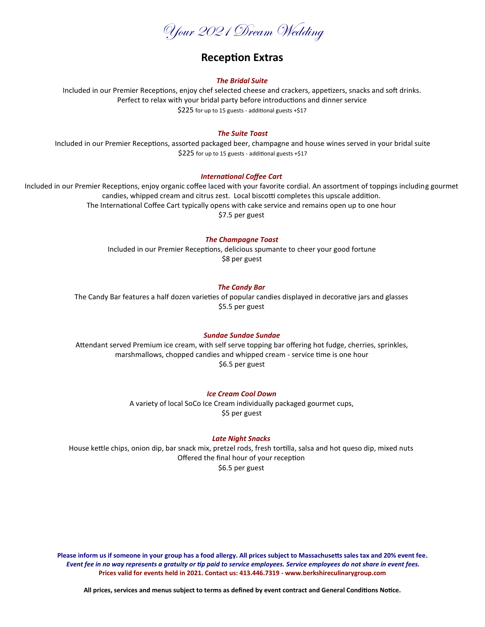Your 2021 Dream Wedding

# **Reception Extras**

#### *The Bridal Suite*

Included in our Premier Receptions, enjoy chef selected cheese and crackers, appetizers, snacks and soft drinks. Perfect to relax with your bridal party before introductions and dinner service \$225 for up to 15 guests - additional guests +\$17

#### *The Suite Toast*

Included in our Premier Receptions, assorted packaged beer, champagne and house wines served in your bridal suite \$225 for up to 15 guests - additional guests +\$17

#### *International Coffee Cart*

Included in our Premier Receptions, enjoy organic coffee laced with your favorite cordial. An assortment of toppings including gourmet candies, whipped cream and citrus zest. Local biscotti completes this upscale addition. The International Coffee Cart typically opens with cake service and remains open up to one hour \$7.5 per guest

### *The Champagne Toast*

Included in our Premier Receptions, delicious spumante to cheer your good fortune \$8 per guest

### *The Candy Bar*

The Candy Bar features a half dozen varieties of popular candies displayed in decorative jars and glasses \$5.5 per guest

#### *Sundae Sundae Sundae*

Attendant served Premium ice cream, with self serve topping bar offering hot fudge, cherries, sprinkles, marshmallows, chopped candies and whipped cream - service time is one hour \$6.5 per guest

#### *Ice Cream Cool Down*

A variety of local SoCo Ice Cream individually packaged gourmet cups, \$5 per guest

#### *Late Night Snacks*

House kettle chips, onion dip, bar snack mix, pretzel rods, fresh tortilla, salsa and hot queso dip, mixed nuts Offered the final hour of your reception \$6.5 per guest

**Please inform us if someone in your group has a food allergy. All prices subject to Massachusetts sales tax and 20% event fee.**  *Event fee in no way represents a gratuity or tip paid to service employees. Service employees do not share in event fees.*  **Prices valid for events held in 2021. Contact us: 413.446.7319 - www.berkshireculinarygroup.com** 

**All prices, services and menus subject to terms as defined by event contract and General Conditions Notice.**